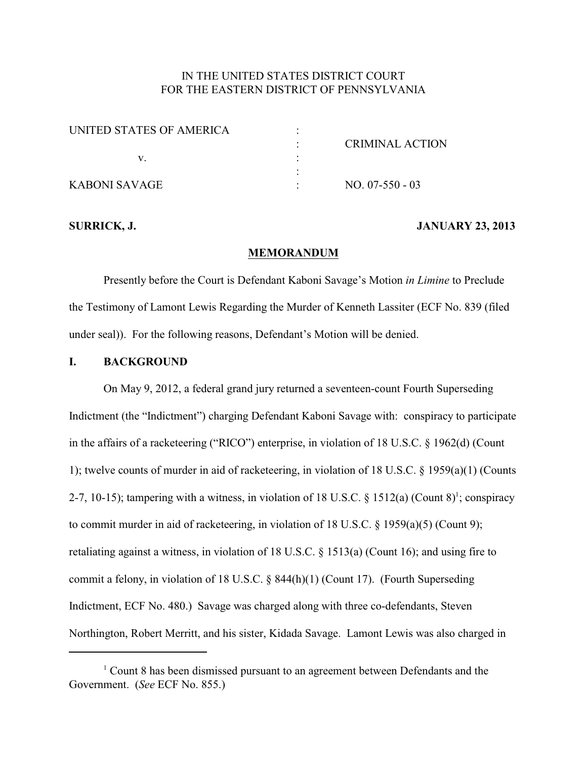# IN THE UNITED STATES DISTRICT COURT FOR THE EASTERN DISTRICT OF PENNSYLVANIA

| UNITED STATES OF AMERICA |                 |
|--------------------------|-----------------|
|                          | CRIMINAL ACTION |
|                          |                 |
|                          |                 |
| <b>KABONI SAVAGE</b>     | $NO. 07-550-03$ |

#### **SURRICK, J. JANUARY 23, 2013**

#### **MEMORANDUM**

Presently before the Court is Defendant Kaboni Savage's Motion *in Limine* to Preclude the Testimony of Lamont Lewis Regarding the Murder of Kenneth Lassiter (ECF No. 839 (filed under seal)). For the following reasons, Defendant's Motion will be denied.

## **I. BACKGROUND**

On May 9, 2012, a federal grand jury returned a seventeen-count Fourth Superseding Indictment (the "Indictment") charging Defendant Kaboni Savage with: conspiracy to participate in the affairs of a racketeering ("RICO") enterprise, in violation of 18 U.S.C. § 1962(d) (Count 1); twelve counts of murder in aid of racketeering, in violation of 18 U.S.C. § 1959(a)(1) (Counts 2-7, 10-15); tampering with a witness, in violation of 18 U.S.C.  $\S$  1512(a) (Count 8)<sup>1</sup>; conspiracy to commit murder in aid of racketeering, in violation of 18 U.S.C. § 1959(a)(5) (Count 9); retaliating against a witness, in violation of 18 U.S.C.  $\S$  1513(a) (Count 16); and using fire to commit a felony, in violation of 18 U.S.C. § 844(h)(1) (Count 17). (Fourth Superseding Indictment, ECF No. 480.) Savage was charged along with three co-defendants, Steven Northington, Robert Merritt, and his sister, Kidada Savage. Lamont Lewis was also charged in

 $1$  Count 8 has been dismissed pursuant to an agreement between Defendants and the Government. (*See* ECF No. 855.)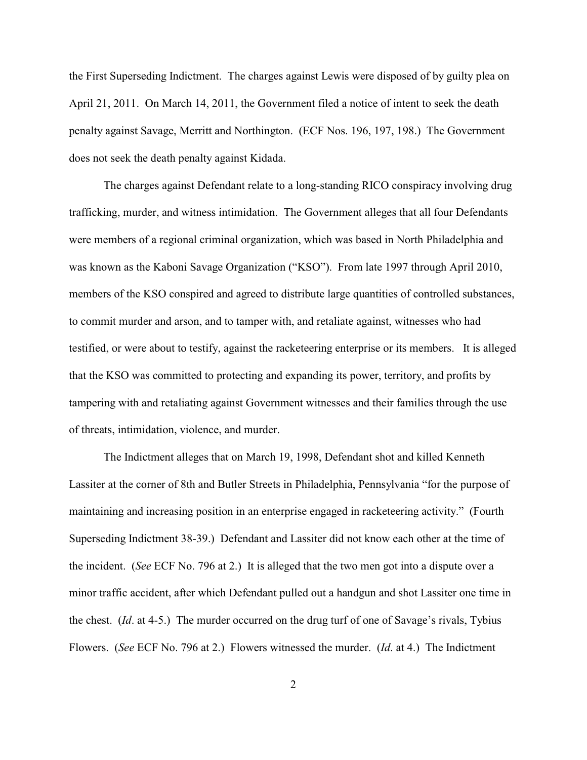the First Superseding Indictment. The charges against Lewis were disposed of by guilty plea on April 21, 2011. On March 14, 2011, the Government filed a notice of intent to seek the death penalty against Savage, Merritt and Northington. (ECF Nos. 196, 197, 198.) The Government does not seek the death penalty against Kidada.

The charges against Defendant relate to a long-standing RICO conspiracy involving drug trafficking, murder, and witness intimidation. The Government alleges that all four Defendants were members of a regional criminal organization, which was based in North Philadelphia and was known as the Kaboni Savage Organization ("KSO"). From late 1997 through April 2010, members of the KSO conspired and agreed to distribute large quantities of controlled substances, to commit murder and arson, and to tamper with, and retaliate against, witnesses who had testified, or were about to testify, against the racketeering enterprise or its members. It is alleged that the KSO was committed to protecting and expanding its power, territory, and profits by tampering with and retaliating against Government witnesses and their families through the use of threats, intimidation, violence, and murder.

The Indictment alleges that on March 19, 1998, Defendant shot and killed Kenneth Lassiter at the corner of 8th and Butler Streets in Philadelphia, Pennsylvania "for the purpose of maintaining and increasing position in an enterprise engaged in racketeering activity." (Fourth Superseding Indictment 38-39.) Defendant and Lassiter did not know each other at the time of the incident. (*See* ECF No. 796 at 2.) It is alleged that the two men got into a dispute over a minor traffic accident, after which Defendant pulled out a handgun and shot Lassiter one time in the chest. (*Id*. at 4-5.) The murder occurred on the drug turf of one of Savage's rivals, Tybius Flowers. (*See* ECF No. 796 at 2.) Flowers witnessed the murder. (*Id*. at 4.) The Indictment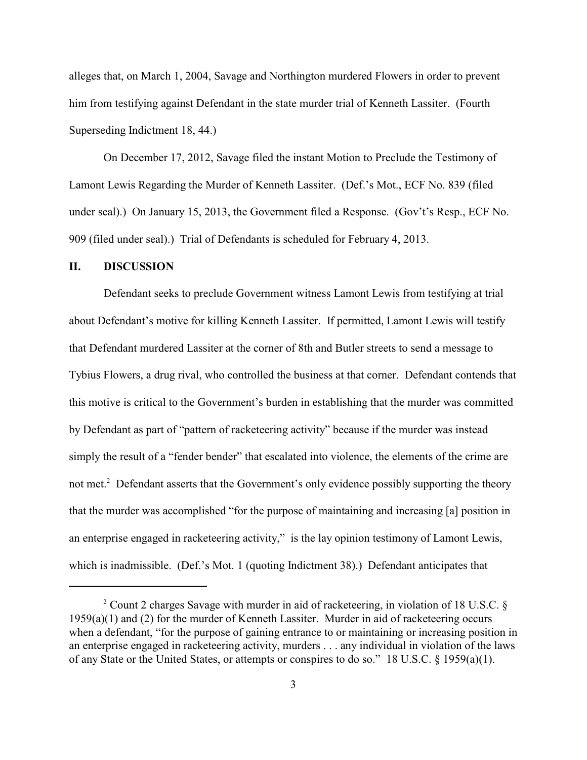alleges that, on March 1, 2004, Savage and Northington murdered Flowers in order to prevent him from testifying against Defendant in the state murder trial of Kenneth Lassiter. (Fourth Superseding Indictment 18, 44.)

On December 17, 2012, Savage filed the instant Motion to Preclude the Testimony of Lamont Lewis Regarding the Murder of Kenneth Lassiter. (Def.'s Mot., ECF No. 839 (filed under seal).) On January 15, 2013, the Government filed a Response. (Gov't's Resp., ECF No. 909 (filed under seal).) Trial of Defendants is scheduled for February 4, 2013.

#### **II. DISCUSSION**

Defendant seeks to preclude Government witness Lamont Lewis from testifying at trial about Defendant's motive for killing Kenneth Lassiter. If permitted, Lamont Lewis will testify that Defendant murdered Lassiter at the corner of 8th and Butler streets to send a message to Tybius Flowers, a drug rival, who controlled the business at that corner. Defendant contends that this motive is critical to the Government's burden in establishing that the murder was committed by Defendant as part of "pattern of racketeering activity" because if the murder was instead simply the result of a "fender bender" that escalated into violence, the elements of the crime are not met.<sup>2</sup> Defendant asserts that the Government's only evidence possibly supporting the theory that the murder was accomplished "for the purpose of maintaining and increasing [a] position in an enterprise engaged in racketeering activity," is the lay opinion testimony of Lamont Lewis, which is inadmissible. (Def.'s Mot. 1 (quoting Indictment 38).) Defendant anticipates that

 $2$  Count 2 charges Savage with murder in aid of racketeering, in violation of 18 U.S.C. § 1959(a)(1) and (2) for the murder of Kenneth Lassiter. Murder in aid of racketeering occurs when a defendant, "for the purpose of gaining entrance to or maintaining or increasing position in an enterprise engaged in racketeering activity, murders . . . any individual in violation of the laws of any State or the United States, or attempts or conspires to do so." 18 U.S.C. § 1959(a)(1).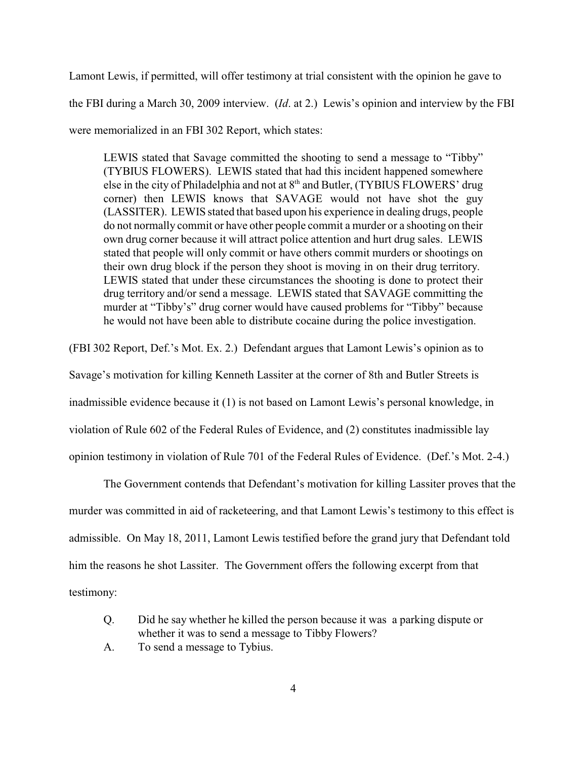Lamont Lewis, if permitted, will offer testimony at trial consistent with the opinion he gave to the FBI during a March 30, 2009 interview. (*Id*. at 2.) Lewis's opinion and interview by the FBI were memorialized in an FBI 302 Report, which states:

LEWIS stated that Savage committed the shooting to send a message to "Tibby" (TYBIUS FLOWERS). LEWIS stated that had this incident happened somewhere else in the city of Philadelphia and not at  $8<sup>th</sup>$  and Butler, (TYBIUS FLOWERS' drug corner) then LEWIS knows that SAVAGE would not have shot the guy (LASSITER). LEWIS stated that based upon his experience in dealing drugs, people do not normally commit or have other people commit a murder or a shooting on their own drug corner because it will attract police attention and hurt drug sales. LEWIS stated that people will only commit or have others commit murders or shootings on their own drug block if the person they shoot is moving in on their drug territory. LEWIS stated that under these circumstances the shooting is done to protect their drug territory and/or send a message. LEWIS stated that SAVAGE committing the murder at "Tibby's" drug corner would have caused problems for "Tibby" because he would not have been able to distribute cocaine during the police investigation.

(FBI 302 Report, Def.'s Mot. Ex. 2.) Defendant argues that Lamont Lewis's opinion as to

Savage's motivation for killing Kenneth Lassiter at the corner of 8th and Butler Streets is

inadmissible evidence because it (1) is not based on Lamont Lewis's personal knowledge, in

violation of Rule 602 of the Federal Rules of Evidence, and (2) constitutes inadmissible lay

opinion testimony in violation of Rule 701 of the Federal Rules of Evidence. (Def.'s Mot. 2-4.)

The Government contends that Defendant's motivation for killing Lassiter proves that the murder was committed in aid of racketeering, and that Lamont Lewis's testimony to this effect is admissible. On May 18, 2011, Lamont Lewis testified before the grand jury that Defendant told him the reasons he shot Lassiter. The Government offers the following excerpt from that testimony:

- Q. Did he say whether he killed the person because it was a parking dispute or whether it was to send a message to Tibby Flowers?
- A. To send a message to Tybius.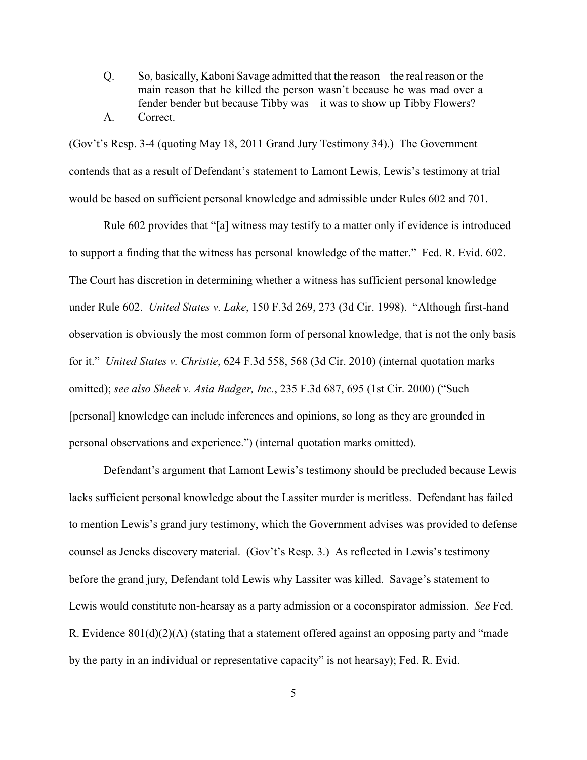Q. So, basically, Kaboni Savage admitted that the reason – the real reason or the main reason that he killed the person wasn't because he was mad over a fender bender but because Tibby was – it was to show up Tibby Flowers? A. Correct.

(Gov't's Resp. 3-4 (quoting May 18, 2011 Grand Jury Testimony 34).) The Government contends that as a result of Defendant's statement to Lamont Lewis, Lewis's testimony at trial would be based on sufficient personal knowledge and admissible under Rules 602 and 701.

Rule 602 provides that "[a] witness may testify to a matter only if evidence is introduced to support a finding that the witness has personal knowledge of the matter." Fed. R. Evid. 602. The Court has discretion in determining whether a witness has sufficient personal knowledge under Rule 602. *United States v. Lake*, 150 F.3d 269, 273 (3d Cir. 1998). "Although first-hand observation is obviously the most common form of personal knowledge, that is not the only basis for it." *United States v. Christie*, 624 F.3d 558, 568 (3d Cir. 2010) (internal quotation marks omitted); *see also Sheek v. Asia Badger, Inc.*, 235 F.3d 687, 695 (1st Cir. 2000) ("Such [personal] knowledge can include inferences and opinions, so long as they are grounded in personal observations and experience.") (internal quotation marks omitted).

Defendant's argument that Lamont Lewis's testimony should be precluded because Lewis lacks sufficient personal knowledge about the Lassiter murder is meritless. Defendant has failed to mention Lewis's grand jury testimony, which the Government advises was provided to defense counsel as Jencks discovery material. (Gov't's Resp. 3.) As reflected in Lewis's testimony before the grand jury, Defendant told Lewis why Lassiter was killed. Savage's statement to Lewis would constitute non-hearsay as a party admission or a coconspirator admission. *See* Fed. R. Evidence 801(d)(2)(A) (stating that a statement offered against an opposing party and "made by the party in an individual or representative capacity" is not hearsay); Fed. R. Evid.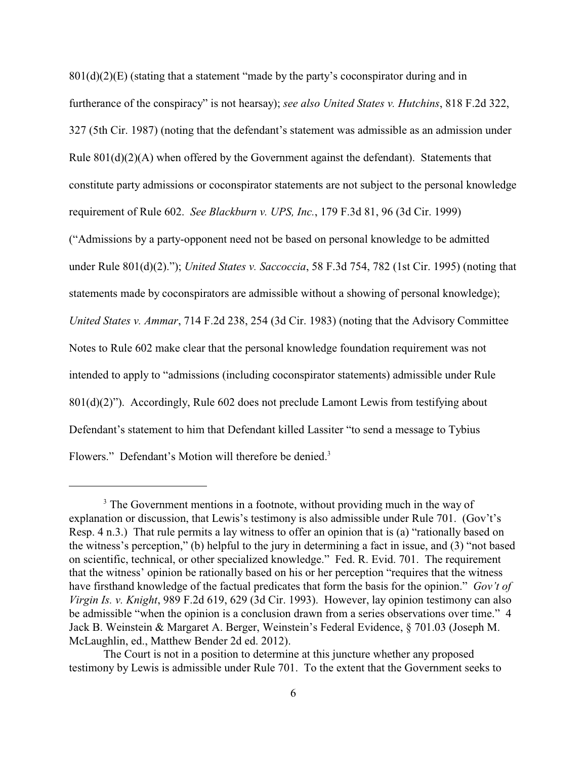$801(d)(2)(E)$  (stating that a statement "made by the party's coconspirator during and in furtherance of the conspiracy" is not hearsay); *see also United States v. Hutchins*, 818 F.2d 322, 327 (5th Cir. 1987) (noting that the defendant's statement was admissible as an admission under Rule 801(d)(2)(A) when offered by the Government against the defendant). Statements that constitute party admissions or coconspirator statements are not subject to the personal knowledge requirement of Rule 602. *See Blackburn v. UPS, Inc.*, 179 F.3d 81, 96 (3d Cir. 1999) ("Admissions by a party-opponent need not be based on personal knowledge to be admitted under Rule 801(d)(2)."); *United States v. Saccoccia*, 58 F.3d 754, 782 (1st Cir. 1995) (noting that statements made by coconspirators are admissible without a showing of personal knowledge); *United States v. Ammar*, 714 F.2d 238, 254 (3d Cir. 1983) (noting that the Advisory Committee Notes to Rule 602 make clear that the personal knowledge foundation requirement was not intended to apply to "admissions (including coconspirator statements) admissible under Rule  $801(d)(2)$ "). Accordingly, Rule 602 does not preclude Lamont Lewis from testifying about Defendant's statement to him that Defendant killed Lassiter "to send a message to Tybius

Flowers." Defendant's Motion will therefore be denied.<sup>3</sup>

 $3$  The Government mentions in a footnote, without providing much in the way of explanation or discussion, that Lewis's testimony is also admissible under Rule 701. (Gov't's Resp. 4 n.3.) That rule permits a lay witness to offer an opinion that is (a) "rationally based on the witness's perception," (b) helpful to the jury in determining a fact in issue, and (3) "not based on scientific, technical, or other specialized knowledge." Fed. R. Evid. 701. The requirement that the witness' opinion be rationally based on his or her perception "requires that the witness have firsthand knowledge of the factual predicates that form the basis for the opinion." *Gov't of Virgin Is. v. Knight*, 989 F.2d 619, 629 (3d Cir. 1993). However, lay opinion testimony can also be admissible "when the opinion is a conclusion drawn from a series observations over time." 4 Jack B. Weinstein & Margaret A. Berger, Weinstein's Federal Evidence, § 701.03 (Joseph M. McLaughlin, ed., Matthew Bender 2d ed. 2012).

The Court is not in a position to determine at this juncture whether any proposed testimony by Lewis is admissible under Rule 701. To the extent that the Government seeks to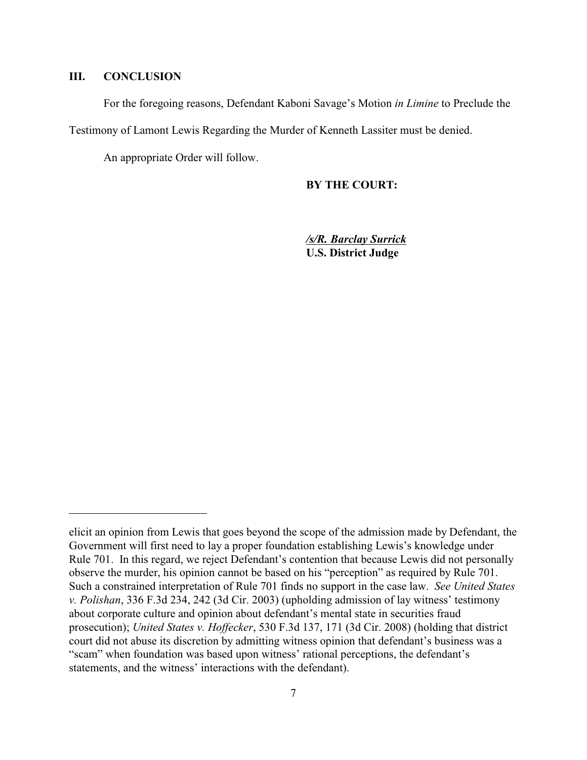### **III. CONCLUSION**

For the foregoing reasons, Defendant Kaboni Savage's Motion *in Limine* to Preclude the

Testimony of Lamont Lewis Regarding the Murder of Kenneth Lassiter must be denied.

An appropriate Order will follow.

**BY THE COURT:**

*/s/R. Barclay Surrick* **U.S. District Judge**

elicit an opinion from Lewis that goes beyond the scope of the admission made by Defendant, the Government will first need to lay a proper foundation establishing Lewis's knowledge under Rule 701. In this regard, we reject Defendant's contention that because Lewis did not personally observe the murder, his opinion cannot be based on his "perception" as required by Rule 701. Such a constrained interpretation of Rule 701 finds no support in the case law. *See United States v. Polishan*, 336 F.3d 234, 242 (3d Cir. 2003) (upholding admission of lay witness' testimony about corporate culture and opinion about defendant's mental state in securities fraud prosecution); *United States v. Hoffecker*, 530 F.3d 137, 171 (3d Cir. 2008) (holding that district court did not abuse its discretion by admitting witness opinion that defendant's business was a "scam" when foundation was based upon witness' rational perceptions, the defendant's statements, and the witness' interactions with the defendant).